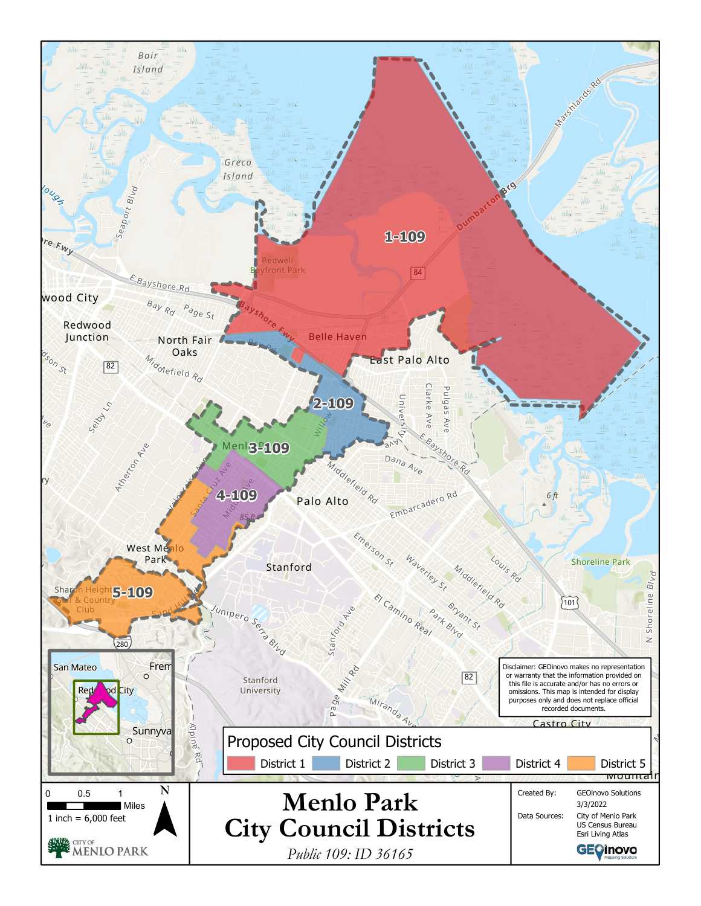